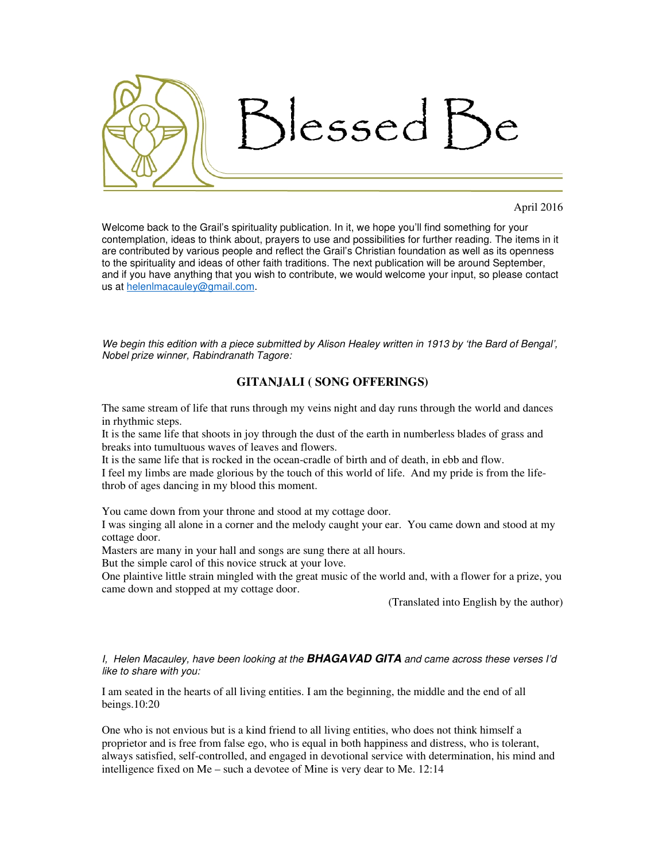

## April 2016

Welcome back to the Grail's spirituality publication. In it, we hope you'll find something for your contemplation, ideas to think about, prayers to use and possibilities for further reading. The items in it are contributed by various people and reflect the Grail's Christian foundation as well as its openness to the spirituality and ideas of other faith traditions. The next publication will be around September, and if you have anything that you wish to contribute, we would welcome your input, so please contact us at helenlmacauley@gmail.com.

*We begin this edition with a piece submitted by Alison Healey written in 1913 by 'the Bard of Bengal', Nobel prize winner, Rabindranath Tagore:*

## **GITANJALI ( SONG OFFERINGS)**

The same stream of life that runs through my veins night and day runs through the world and dances in rhythmic steps.

It is the same life that shoots in joy through the dust of the earth in numberless blades of grass and breaks into tumultuous waves of leaves and flowers.

It is the same life that is rocked in the ocean-cradle of birth and of death, in ebb and flow.

I feel my limbs are made glorious by the touch of this world of life. And my pride is from the lifethrob of ages dancing in my blood this moment.

You came down from your throne and stood at my cottage door.

I was singing all alone in a corner and the melody caught your ear. You came down and stood at my cottage door.

Masters are many in your hall and songs are sung there at all hours.

But the simple carol of this novice struck at your love.

One plaintive little strain mingled with the great music of the world and, with a flower for a prize, you came down and stopped at my cottage door.

(Translated into English by the author)

*I, Helen Macauley, have been looking at the* **BHAGAVAD GITA** *and came across these verses I'd like to share with you:*

I am seated in the hearts of all living entities. I am the beginning, the middle and the end of all beings.10:20

One who is not envious but is a kind friend to all living entities, who does not think himself a proprietor and is free from false ego, who is equal in both happiness and distress, who is tolerant, always satisfied, self-controlled, and engaged in devotional service with determination, his mind and intelligence fixed on Me – such a devotee of Mine is very dear to Me. 12:14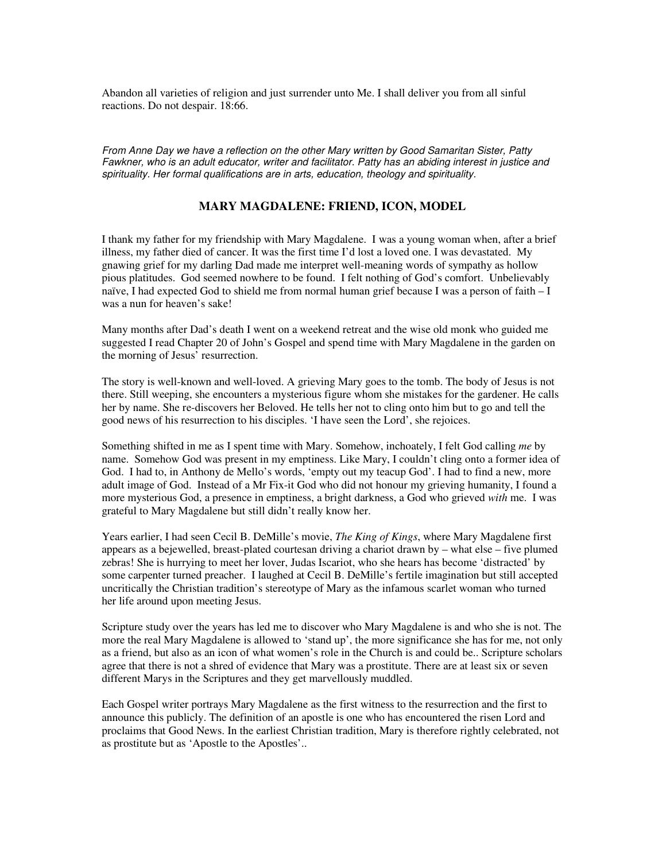Abandon all varieties of religion and just surrender unto Me. I shall deliver you from all sinful reactions. Do not despair. 18:66.

*From Anne Day we have a reflection on the other Mary written by Good Samaritan Sister, Patty*  Fawkner, who is an adult educator, writer and facilitator. Patty has an abiding interest in justice and *spirituality. Her formal qualifications are in arts, education, theology and spirituality.* 

## **MARY MAGDALENE: FRIEND, ICON, MODEL**

I thank my father for my friendship with Mary Magdalene. I was a young woman when, after a brief illness, my father died of cancer. It was the first time I'd lost a loved one. I was devastated. My gnawing grief for my darling Dad made me interpret well-meaning words of sympathy as hollow pious platitudes. God seemed nowhere to be found. I felt nothing of God's comfort. Unbelievably naïve, I had expected God to shield me from normal human grief because I was a person of faith – I was a nun for heaven's sake!

Many months after Dad's death I went on a weekend retreat and the wise old monk who guided me suggested I read Chapter 20 of John's Gospel and spend time with Mary Magdalene in the garden on the morning of Jesus' resurrection.

The story is well-known and well-loved. A grieving Mary goes to the tomb. The body of Jesus is not there. Still weeping, she encounters a mysterious figure whom she mistakes for the gardener. He calls her by name. She re-discovers her Beloved. He tells her not to cling onto him but to go and tell the good news of his resurrection to his disciples. 'I have seen the Lord', she rejoices.

Something shifted in me as I spent time with Mary. Somehow, inchoately, I felt God calling *me* by name. Somehow God was present in my emptiness. Like Mary, I couldn't cling onto a former idea of God. I had to, in Anthony de Mello's words, 'empty out my teacup God'. I had to find a new, more adult image of God. Instead of a Mr Fix-it God who did not honour my grieving humanity, I found a more mysterious God, a presence in emptiness, a bright darkness, a God who grieved *with* me. I was grateful to Mary Magdalene but still didn't really know her.

Years earlier, I had seen Cecil B. DeMille's movie, *The King of Kings*, where Mary Magdalene first appears as a bejewelled, breast-plated courtesan driving a chariot drawn by – what else – five plumed zebras! She is hurrying to meet her lover, Judas Iscariot, who she hears has become 'distracted' by some carpenter turned preacher. I laughed at Cecil B. DeMille's fertile imagination but still accepted uncritically the Christian tradition's stereotype of Mary as the infamous scarlet woman who turned her life around upon meeting Jesus.

Scripture study over the years has led me to discover who Mary Magdalene is and who she is not. The more the real Mary Magdalene is allowed to 'stand up', the more significance she has for me, not only as a friend, but also as an icon of what women's role in the Church is and could be.. Scripture scholars agree that there is not a shred of evidence that Mary was a prostitute. There are at least six or seven different Marys in the Scriptures and they get marvellously muddled.

Each Gospel writer portrays Mary Magdalene as the first witness to the resurrection and the first to announce this publicly. The definition of an apostle is one who has encountered the risen Lord and proclaims that Good News. In the earliest Christian tradition, Mary is therefore rightly celebrated, not as prostitute but as 'Apostle to the Apostles'..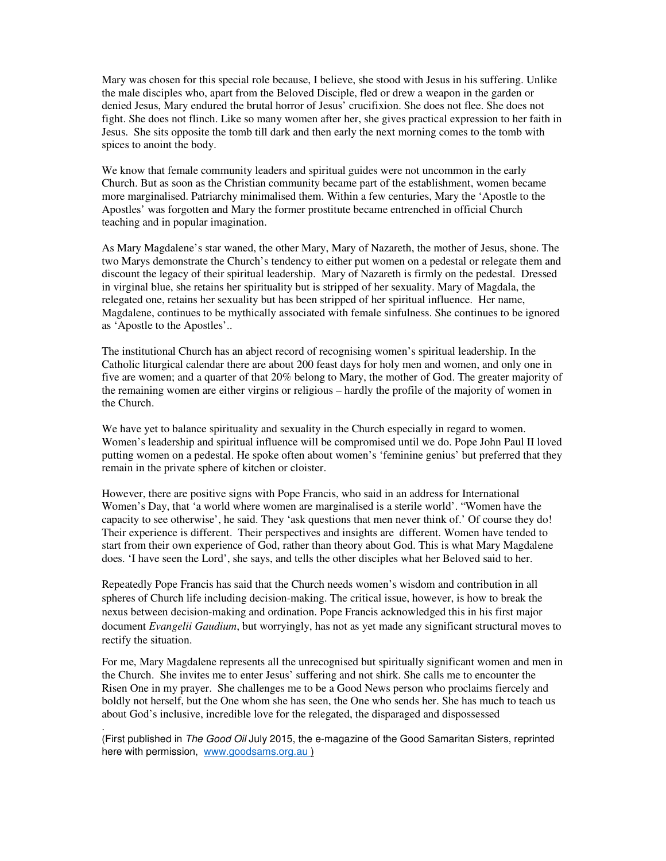Mary was chosen for this special role because, I believe, she stood with Jesus in his suffering. Unlike the male disciples who, apart from the Beloved Disciple, fled or drew a weapon in the garden or denied Jesus, Mary endured the brutal horror of Jesus' crucifixion. She does not flee. She does not fight. She does not flinch. Like so many women after her, she gives practical expression to her faith in Jesus. She sits opposite the tomb till dark and then early the next morning comes to the tomb with spices to anoint the body.

We know that female community leaders and spiritual guides were not uncommon in the early Church. But as soon as the Christian community became part of the establishment, women became more marginalised. Patriarchy minimalised them. Within a few centuries, Mary the 'Apostle to the Apostles' was forgotten and Mary the former prostitute became entrenched in official Church teaching and in popular imagination.

As Mary Magdalene's star waned, the other Mary, Mary of Nazareth, the mother of Jesus, shone. The two Marys demonstrate the Church's tendency to either put women on a pedestal or relegate them and discount the legacy of their spiritual leadership. Mary of Nazareth is firmly on the pedestal. Dressed in virginal blue, she retains her spirituality but is stripped of her sexuality. Mary of Magdala, the relegated one, retains her sexuality but has been stripped of her spiritual influence. Her name, Magdalene, continues to be mythically associated with female sinfulness. She continues to be ignored as 'Apostle to the Apostles'..

The institutional Church has an abject record of recognising women's spiritual leadership. In the Catholic liturgical calendar there are about 200 feast days for holy men and women, and only one in five are women; and a quarter of that 20% belong to Mary, the mother of God. The greater majority of the remaining women are either virgins or religious – hardly the profile of the majority of women in the Church.

We have yet to balance spirituality and sexuality in the Church especially in regard to women. Women's leadership and spiritual influence will be compromised until we do. Pope John Paul II loved putting women on a pedestal. He spoke often about women's 'feminine genius' but preferred that they remain in the private sphere of kitchen or cloister.

However, there are positive signs with Pope Francis, who said in an address for International Women's Day, that 'a world where women are marginalised is a sterile world'. "Women have the capacity to see otherwise', he said. They 'ask questions that men never think of.' Of course they do! Their experience is different. Their perspectives and insights are different. Women have tended to start from their own experience of God, rather than theory about God. This is what Mary Magdalene does. 'I have seen the Lord', she says, and tells the other disciples what her Beloved said to her.

Repeatedly Pope Francis has said that the Church needs women's wisdom and contribution in all spheres of Church life including decision-making. The critical issue, however, is how to break the nexus between decision-making and ordination. Pope Francis acknowledged this in his first major document *Evangelii Gaudium*, but worryingly, has not as yet made any significant structural moves to rectify the situation.

For me, Mary Magdalene represents all the unrecognised but spiritually significant women and men in the Church. She invites me to enter Jesus' suffering and not shirk. She calls me to encounter the Risen One in my prayer. She challenges me to be a Good News person who proclaims fiercely and boldly not herself, but the One whom she has seen, the One who sends her. She has much to teach us about God's inclusive, incredible love for the relegated, the disparaged and dispossessed

(First published in *The Good Oil* July 2015, the e-magazine of the Good Samaritan Sisters, reprinted here with permission, www.goodsams.org.au )

.